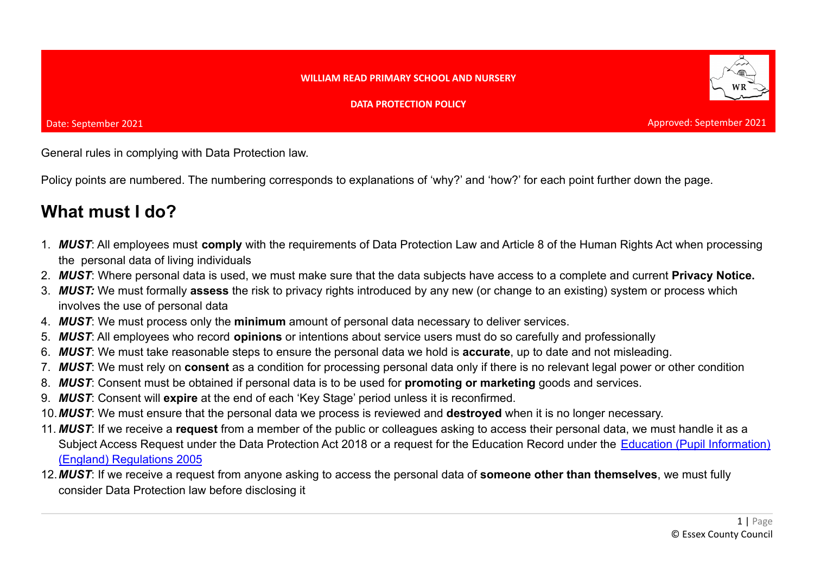#### **WILLIAM READ PRIMARY SCHOOL AND NURSERY**

Approved: September 2021

General rules in complying with Data Protection law.

Policy points are numbered. The numbering corresponds to explanations of 'why?' and 'how?' for each point further down the page.

## **What must I do?**

- 1. *MUST*: All employees must **comply** with the requirements of Data Protection Law and Article 8 of the Human Rights Act when processing the personal data of living individuals
- 2. *MUST*: Where personal data is used, we must make sure that the data subjects have access to a complete and current **Privacy Notice.**
- 3. *MUST:* We must formally **assess** the risk to privacy rights introduced by any new (or change to an existing) system or process which involves the use of personal data
- 4. *MUST*: We must process only the **minimum** amount of personal data necessary to deliver services.
- 5. *MUST*: All employees who record **opinions** or intentions about service users must do so carefully and professionally
- 6. *MUST*: We must take reasonable steps to ensure the personal data we hold is **accurate**, up to date and not misleading.
- 7. *MUST*: We must rely on **consent** as a condition for processing personal data only if there is no relevant legal power or other condition
- 8. *MUST*: Consent must be obtained if personal data is to be used for **promoting or marketing** goods and services.
- 9. *MUST*: Consent will **expire** at the end of each 'Key Stage' period unless it is reconfirmed.
- 10.*MUST*: We must ensure that the personal data we process is reviewed and **destroyed** when it is no longer necessary.
- 11. *MUST*: If we receive a **request** from a member of the public or colleagues asking to access their personal data, we must handle it as a Subject Access Request under the Data Protection Act 2018 or a request for the Education Record under the [Education \(Pupil Information\)](http://www.legislation.gov.uk/uksi/2005/1437/pdfs/uksi_20051437_en.pdf) [\(England\) Regulations 2005](http://www.legislation.gov.uk/uksi/2005/1437/pdfs/uksi_20051437_en.pdf)
- 12.*MUST*: If we receive a request from anyone asking to access the personal data of **someone other than themselves**, we must fully consider Data Protection law before disclosing it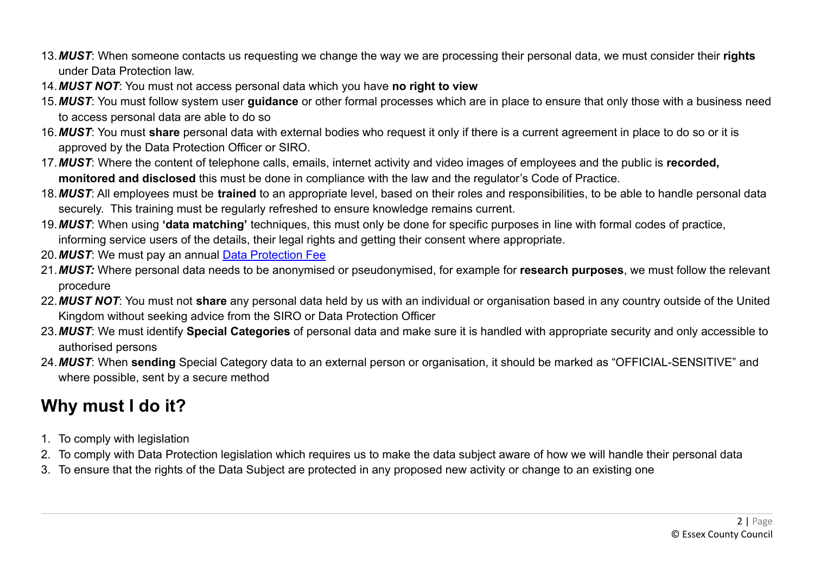- 13.*MUST*: When someone contacts us requesting we change the way we are processing their personal data, we must consider their **rights** under Data Protection law.
- 14.*MUST NOT*: You must not access personal data which you have **no right to view**
- 15.*MUST*: You must follow system user **guidance** or other formal processes which are in place to ensure that only those with a business need to access personal data are able to do so
- 16.*MUST*: You must **share** personal data with external bodies who request it only if there is a current agreement in place to do so or it is approved by the Data Protection Officer or SIRO.
- 17.*MUST*: Where the content of telephone calls, emails, internet activity and video images of employees and the public is **recorded, monitored and disclosed** this must be done in compliance with the law and the regulator's Code of Practice.
- 18.*MUST*: All employees must be **trained** to an appropriate level, based on their roles and responsibilities, to be able to handle personal data securely. This training must be regularly refreshed to ensure knowledge remains current.
- 19.*MUST*: When using **'data matching'** techniques, this must only be done for specific purposes in line with formal codes of practice, informing service users of the details, their legal rights and getting their consent where appropriate.
- 20.*MUST*: We must pay an annual [Data Protection Fee](https://ico.org.uk/for-organisations/data-protection-fee/)
- 21.*MUST:* Where personal data needs to be anonymised or pseudonymised, for example for **research purposes**, we must follow the relevant procedure
- 22.*MUST NOT*: You must not **share** any personal data held by us with an individual or organisation based in any country outside of the United Kingdom without seeking advice from the SIRO or Data Protection Officer
- 23.*MUST*: We must identify **Special Categories** of personal data and make sure it is handled with appropriate security and only accessible to authorised persons
- 24.*MUST*: When **sending** Special Category data to an external person or organisation, it should be marked as "OFFICIAL-SENSITIVE" and where possible, sent by a secure method

# **Why must I do it?**

- 1. To comply with legislation
- 2. To comply with Data Protection legislation which requires us to make the data subject aware of how we will handle their personal data
- 3. To ensure that the rights of the Data Subject are protected in any proposed new activity or change to an existing one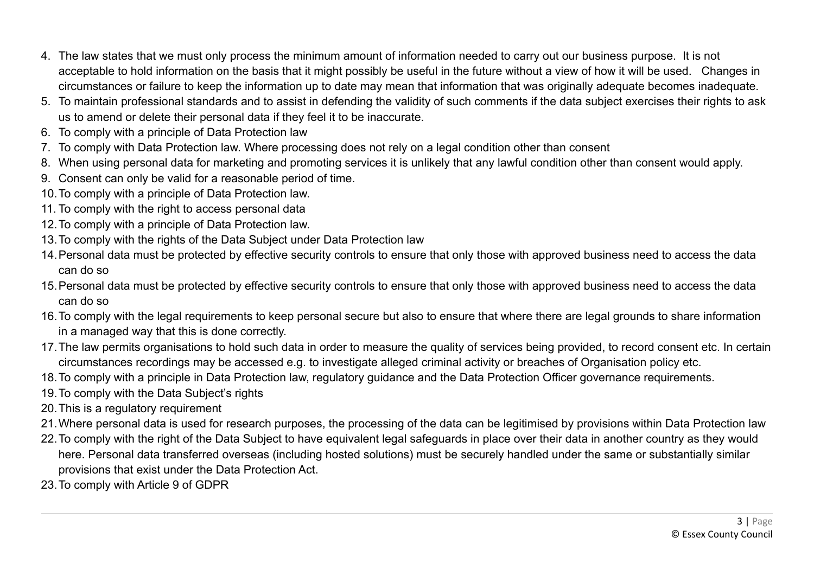- 4. The law states that we must only process the minimum amount of information needed to carry out our business purpose. It is not acceptable to hold information on the basis that it might possibly be useful in the future without a view of how it will be used. Changes in circumstances or failure to keep the information up to date may mean that information that was originally adequate becomes inadequate.
- 5. To maintain professional standards and to assist in defending the validity of such comments if the data subject exercises their rights to ask us to amend or delete their personal data if they feel it to be inaccurate.
- 6. To comply with a principle of Data Protection law
- 7. To comply with Data Protection law. Where processing does not rely on a legal condition other than consent
- 8. When using personal data for marketing and promoting services it is unlikely that any lawful condition other than consent would apply.
- 9. Consent can only be valid for a reasonable period of time.
- 10.To comply with a principle of Data Protection law.
- 11. To comply with the right to access personal data
- 12.To comply with a principle of Data Protection law.
- 13.To comply with the rights of the Data Subject under Data Protection law
- 14.Personal data must be protected by effective security controls to ensure that only those with approved business need to access the data can do so
- 15.Personal data must be protected by effective security controls to ensure that only those with approved business need to access the data can do so
- 16.To comply with the legal requirements to keep personal secure but also to ensure that where there are legal grounds to share information in a managed way that this is done correctly.
- 17.The law permits organisations to hold such data in order to measure the quality of services being provided, to record consent etc. In certain circumstances recordings may be accessed e.g. to investigate alleged criminal activity or breaches of Organisation policy etc.
- 18.To comply with a principle in Data Protection law, regulatory guidance and the Data Protection Officer governance requirements.
- 19.To comply with the Data Subject's rights
- 20.This is a regulatory requirement
- 21.Where personal data is used for research purposes, the processing of the data can be legitimised by provisions within Data Protection law
- 22.To comply with the right of the Data Subject to have equivalent legal safeguards in place over their data in another country as they would here. Personal data transferred overseas (including hosted solutions) must be securely handled under the same or substantially similar provisions that exist under the Data Protection Act.
- 23.To comply with Article 9 of GDPR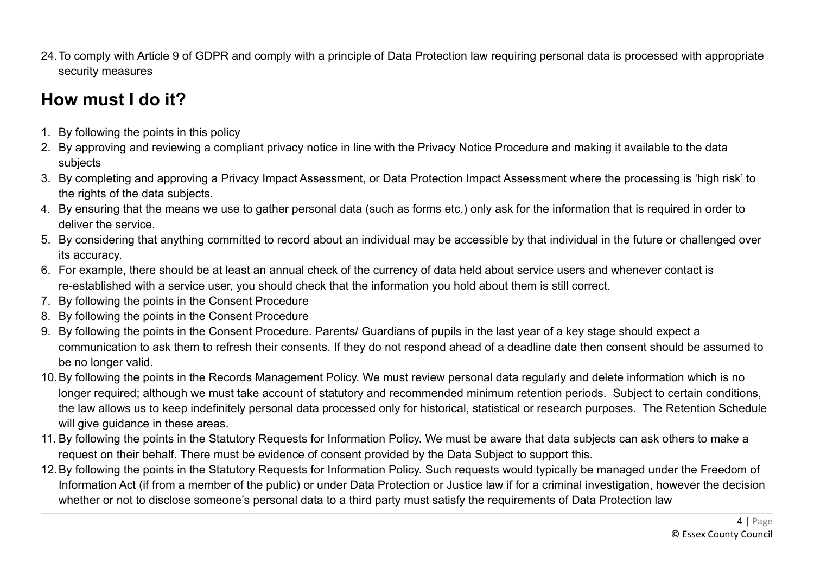24.To comply with Article 9 of GDPR and comply with a principle of Data Protection law requiring personal data is processed with appropriate security measures

## **How must I do it?**

- 1. By following the points in this policy
- 2. By approving and reviewing a compliant privacy notice in line with the Privacy Notice Procedure and making it available to the data subjects
- 3. By completing and approving a Privacy Impact Assessment, or Data Protection Impact Assessment where the processing is 'high risk' to the rights of the data subjects.
- 4. By ensuring that the means we use to gather personal data (such as forms etc.) only ask for the information that is required in order to deliver the service.
- 5. By considering that anything committed to record about an individual may be accessible by that individual in the future or challenged over its accuracy.
- 6. For example, there should be at least an annual check of the currency of data held about service users and whenever contact is re-established with a service user, you should check that the information you hold about them is still correct.
- 7. By following the points in the Consent Procedure
- 8. By following the points in the Consent Procedure
- 9. By following the points in the Consent Procedure. Parents/ Guardians of pupils in the last year of a key stage should expect a communication to ask them to refresh their consents. If they do not respond ahead of a deadline date then consent should be assumed to be no longer valid.
- 10.By following the points in the Records Management Policy. We must review personal data regularly and delete information which is no longer required; although we must take account of statutory and recommended minimum retention periods. Subject to certain conditions, the law allows us to keep indefinitely personal data processed only for historical, statistical or research purposes. The Retention Schedule will give quidance in these areas.
- 11. By following the points in the Statutory Requests for Information Policy. We must be aware that data subjects can ask others to make a request on their behalf. There must be evidence of consent provided by the Data Subject to support this.
- 12.By following the points in the Statutory Requests for Information Policy. Such requests would typically be managed under the Freedom of Information Act (if from a member of the public) or under Data Protection or Justice law if for a criminal investigation, however the decision whether or not to disclose someone's personal data to a third party must satisfy the requirements of Data Protection law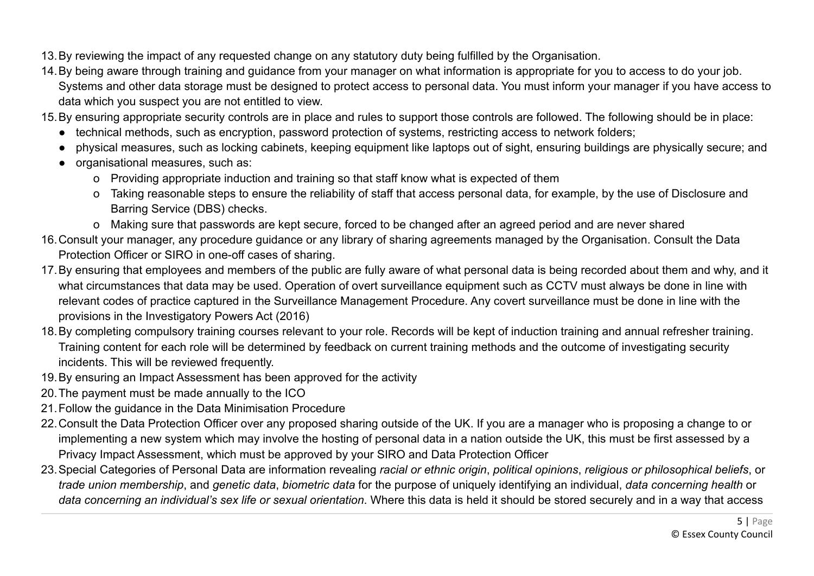- 13.By reviewing the impact of any requested change on any statutory duty being fulfilled by the Organisation.
- 14.By being aware through training and guidance from your manager on what information is appropriate for you to access to do your job. Systems and other data storage must be designed to protect access to personal data. You must inform your manager if you have access to data which you suspect you are not entitled to view.
- 15.By ensuring appropriate security controls are in place and rules to support those controls are followed. The following should be in place:
	- technical methods, such as encryption, password protection of systems, restricting access to network folders;
	- physical measures, such as locking cabinets, keeping equipment like laptops out of sight, ensuring buildings are physically secure; and
	- organisational measures, such as:
		- o Providing appropriate induction and training so that staff know what is expected of them
		- o Taking reasonable steps to ensure the reliability of staff that access personal data, for example, by the use of Disclosure and Barring Service (DBS) checks.
		- o Making sure that passwords are kept secure, forced to be changed after an agreed period and are never shared
- 16.Consult your manager, any procedure guidance or any library of sharing agreements managed by the Organisation. Consult the Data Protection Officer or SIRO in one-off cases of sharing.
- 17.By ensuring that employees and members of the public are fully aware of what personal data is being recorded about them and why, and it what circumstances that data may be used. Operation of overt surveillance equipment such as CCTV must always be done in line with relevant codes of practice captured in the Surveillance Management Procedure. Any covert surveillance must be done in line with the provisions in the Investigatory Powers Act (2016)
- 18.By completing compulsory training courses relevant to your role. Records will be kept of induction training and annual refresher training. Training content for each role will be determined by feedback on current training methods and the outcome of investigating security incidents. This will be reviewed frequently.
- 19.By ensuring an Impact Assessment has been approved for the activity
- 20.The payment must be made annually to the ICO
- 21.Follow the guidance in the Data Minimisation Procedure
- 22.Consult the Data Protection Officer over any proposed sharing outside of the UK. If you are a manager who is proposing a change to or implementing a new system which may involve the hosting of personal data in a nation outside the UK, this must be first assessed by a Privacy Impact Assessment, which must be approved by your SIRO and Data Protection Officer
- 23.Special Categories of Personal Data are information revealing *racial or ethnic origin*, *political opinions*, *religious or philosophical beliefs*, or *trade union membership*, and *genetic data*, *biometric data* for the purpose of uniquely identifying an individual, *data concerning health* or *data concerning an individual's sex life or sexual orientation*. Where this data is held it should be stored securely and in a way that access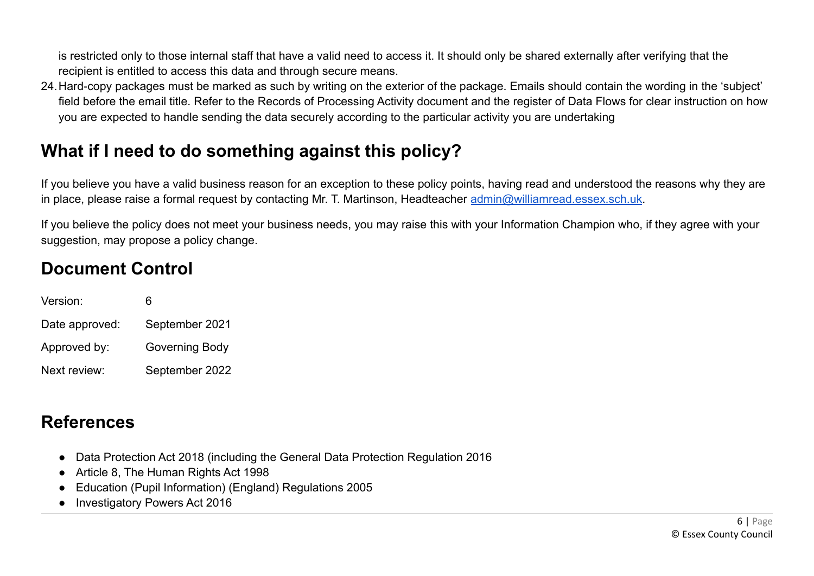is restricted only to those internal staff that have a valid need to access it. It should only be shared externally after verifying that the recipient is entitled to access this data and through secure means.

24.Hard-copy packages must be marked as such by writing on the exterior of the package. Emails should contain the wording in the 'subject' field before the email title. Refer to the Records of Processing Activity document and the register of Data Flows for clear instruction on how you are expected to handle sending the data securely according to the particular activity you are undertaking

## **What if I need to do something against this policy?**

If you believe you have a valid business reason for an exception to these policy points, having read and understood the reasons why they are in place, please raise a formal request by contacting Mr. T. Martinson, Headteacher [admin@williamread.essex.sch.uk](mailto:admin@williamread.essex.sch.uk).

If you believe the policy does not meet your business needs, you may raise this with your Information Champion who, if they agree with your suggestion, may propose a policy change.

## **Document Control**

| Version:       | 6              |
|----------------|----------------|
| Date approved: | September 2021 |
| Approved by:   | Governing Body |
| Next review:   | September 2022 |

## **References**

- Data Protection Act 2018 (including the General Data Protection Regulation 2016
- Article 8, The Human Rights Act 1998
- Education (Pupil Information) (England) Regulations 2005
- Investigatory Powers Act 2016